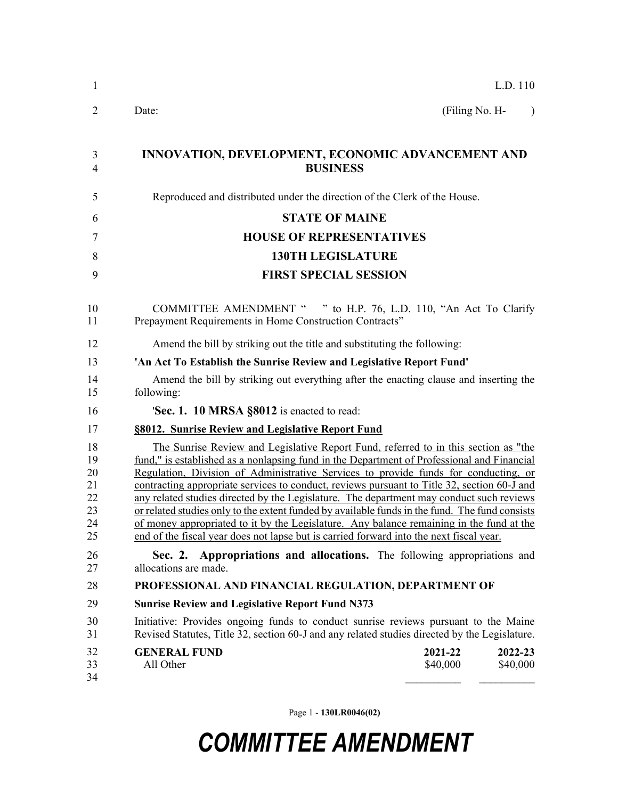| 1                                            | L.D. 110                                                                                                                                                                                                                                                                                                                                                                                                                                                                                                                                                                                                                                                                                                                                                     |  |  |  |
|----------------------------------------------|--------------------------------------------------------------------------------------------------------------------------------------------------------------------------------------------------------------------------------------------------------------------------------------------------------------------------------------------------------------------------------------------------------------------------------------------------------------------------------------------------------------------------------------------------------------------------------------------------------------------------------------------------------------------------------------------------------------------------------------------------------------|--|--|--|
| $\overline{2}$                               | Date:<br>(Filing No. H-<br>$\rightarrow$                                                                                                                                                                                                                                                                                                                                                                                                                                                                                                                                                                                                                                                                                                                     |  |  |  |
| 3<br>4                                       | INNOVATION, DEVELOPMENT, ECONOMIC ADVANCEMENT AND<br><b>BUSINESS</b>                                                                                                                                                                                                                                                                                                                                                                                                                                                                                                                                                                                                                                                                                         |  |  |  |
| 5                                            | Reproduced and distributed under the direction of the Clerk of the House.                                                                                                                                                                                                                                                                                                                                                                                                                                                                                                                                                                                                                                                                                    |  |  |  |
| 6                                            | <b>STATE OF MAINE</b>                                                                                                                                                                                                                                                                                                                                                                                                                                                                                                                                                                                                                                                                                                                                        |  |  |  |
| 7                                            | <b>HOUSE OF REPRESENTATIVES</b>                                                                                                                                                                                                                                                                                                                                                                                                                                                                                                                                                                                                                                                                                                                              |  |  |  |
| 8                                            | <b>130TH LEGISLATURE</b>                                                                                                                                                                                                                                                                                                                                                                                                                                                                                                                                                                                                                                                                                                                                     |  |  |  |
| 9                                            | <b>FIRST SPECIAL SESSION</b>                                                                                                                                                                                                                                                                                                                                                                                                                                                                                                                                                                                                                                                                                                                                 |  |  |  |
| 10<br>11                                     | COMMITTEE AMENDMENT " " to H.P. 76, L.D. 110, "An Act To Clarify<br>Prepayment Requirements in Home Construction Contracts"                                                                                                                                                                                                                                                                                                                                                                                                                                                                                                                                                                                                                                  |  |  |  |
| 12                                           | Amend the bill by striking out the title and substituting the following:                                                                                                                                                                                                                                                                                                                                                                                                                                                                                                                                                                                                                                                                                     |  |  |  |
| 13                                           | 'An Act To Establish the Sunrise Review and Legislative Report Fund'                                                                                                                                                                                                                                                                                                                                                                                                                                                                                                                                                                                                                                                                                         |  |  |  |
| 14<br>15                                     | Amend the bill by striking out everything after the enacting clause and inserting the<br>following:                                                                                                                                                                                                                                                                                                                                                                                                                                                                                                                                                                                                                                                          |  |  |  |
| 16                                           | 'Sec. 1. 10 MRSA §8012 is enacted to read:                                                                                                                                                                                                                                                                                                                                                                                                                                                                                                                                                                                                                                                                                                                   |  |  |  |
| 17                                           | §8012. Sunrise Review and Legislative Report Fund                                                                                                                                                                                                                                                                                                                                                                                                                                                                                                                                                                                                                                                                                                            |  |  |  |
| 18<br>19<br>20<br>21<br>22<br>23<br>24<br>25 | The Sunrise Review and Legislative Report Fund, referred to in this section as "the<br>fund," is established as a nonlapsing fund in the Department of Professional and Financial<br>Regulation, Division of Administrative Services to provide funds for conducting, or<br>contracting appropriate services to conduct, reviews pursuant to Title 32, section 60-J and<br>any related studies directed by the Legislature. The department may conduct such reviews<br>or related studies only to the extent funded by available funds in the fund. The fund consists<br>of money appropriated to it by the Legislature. Any balance remaining in the fund at the<br>end of the fiscal year does not lapse but is carried forward into the next fiscal year. |  |  |  |
| 26<br>27                                     | Sec. 2. Appropriations and allocations. The following appropriations and<br>allocations are made.                                                                                                                                                                                                                                                                                                                                                                                                                                                                                                                                                                                                                                                            |  |  |  |
| 28                                           | PROFESSIONAL AND FINANCIAL REGULATION, DEPARTMENT OF                                                                                                                                                                                                                                                                                                                                                                                                                                                                                                                                                                                                                                                                                                         |  |  |  |
| 29                                           | <b>Sunrise Review and Legislative Report Fund N373</b>                                                                                                                                                                                                                                                                                                                                                                                                                                                                                                                                                                                                                                                                                                       |  |  |  |
| 30<br>31                                     | Initiative: Provides ongoing funds to conduct sunrise reviews pursuant to the Maine<br>Revised Statutes, Title 32, section 60-J and any related studies directed by the Legislature.                                                                                                                                                                                                                                                                                                                                                                                                                                                                                                                                                                         |  |  |  |
| 32<br>33<br>34                               | <b>GENERAL FUND</b><br>2021-22<br>2022-23<br>All Other<br>\$40,000<br>\$40,000                                                                                                                                                                                                                                                                                                                                                                                                                                                                                                                                                                                                                                                                               |  |  |  |

Page 1 - **130LR0046(02)**

## *COMMITTEE AMENDMENT*